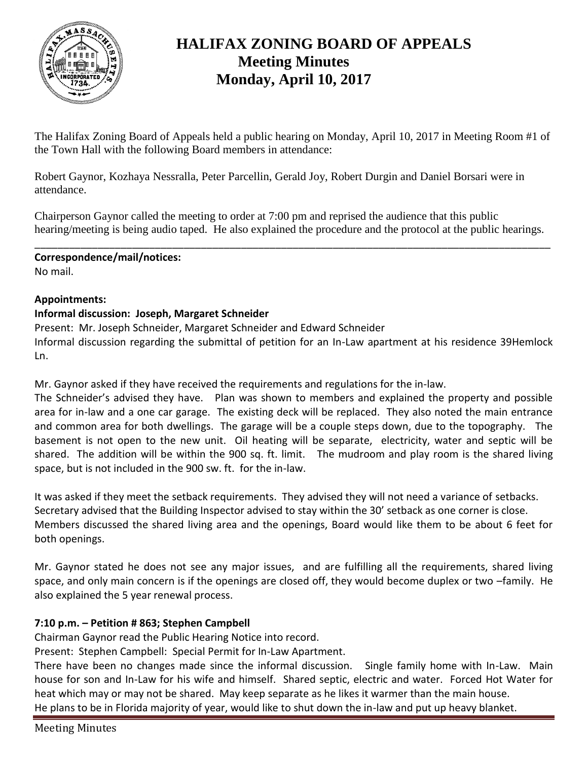

# **HALIFAX ZONING BOARD OF APPEALS Meeting Minutes Monday, April 10, 2017**

The Halifax Zoning Board of Appeals held a public hearing on Monday, April 10, 2017 in Meeting Room #1 of the Town Hall with the following Board members in attendance:

Robert Gaynor, Kozhaya Nessralla, Peter Parcellin, Gerald Joy, Robert Durgin and Daniel Borsari were in attendance.

Chairperson Gaynor called the meeting to order at 7:00 pm and reprised the audience that this public hearing/meeting is being audio taped. He also explained the procedure and the protocol at the public hearings.

\_\_\_\_\_\_\_\_\_\_\_\_\_\_\_\_\_\_\_\_\_\_\_\_\_\_\_\_\_\_\_\_\_\_\_\_\_\_\_\_\_\_\_\_\_\_\_\_\_\_\_\_\_\_\_\_\_\_\_\_\_\_\_\_\_\_\_\_\_\_\_\_\_\_\_\_\_\_\_\_\_\_\_\_\_\_\_\_\_\_ **Correspondence/mail/notices:**

No mail.

# **Appointments:**

# **Informal discussion: Joseph, Margaret Schneider**

Present: Mr. Joseph Schneider, Margaret Schneider and Edward Schneider Informal discussion regarding the submittal of petition for an In-Law apartment at his residence 39Hemlock Ln.

Mr. Gaynor asked if they have received the requirements and regulations for the in-law.

The Schneider's advised they have. Plan was shown to members and explained the property and possible area for in-law and a one car garage. The existing deck will be replaced. They also noted the main entrance and common area for both dwellings. The garage will be a couple steps down, due to the topography. The basement is not open to the new unit. Oil heating will be separate, electricity, water and septic will be shared. The addition will be within the 900 sq. ft. limit. The mudroom and play room is the shared living space, but is not included in the 900 sw. ft. for the in-law.

It was asked if they meet the setback requirements. They advised they will not need a variance of setbacks. Secretary advised that the Building Inspector advised to stay within the 30' setback as one corner is close. Members discussed the shared living area and the openings, Board would like them to be about 6 feet for both openings.

Mr. Gaynor stated he does not see any major issues, and are fulfilling all the requirements, shared living space, and only main concern is if the openings are closed off, they would become duplex or two –family. He also explained the 5 year renewal process.

# **7:10 p.m. – Petition # 863; Stephen Campbell**

Chairman Gaynor read the Public Hearing Notice into record.

Present: Stephen Campbell: Special Permit for In-Law Apartment.

There have been no changes made since the informal discussion. Single family home with In-Law. Main house for son and In-Law for his wife and himself. Shared septic, electric and water. Forced Hot Water for heat which may or may not be shared. May keep separate as he likes it warmer than the main house. He plans to be in Florida majority of year, would like to shut down the in-law and put up heavy blanket.

Meeting Minutes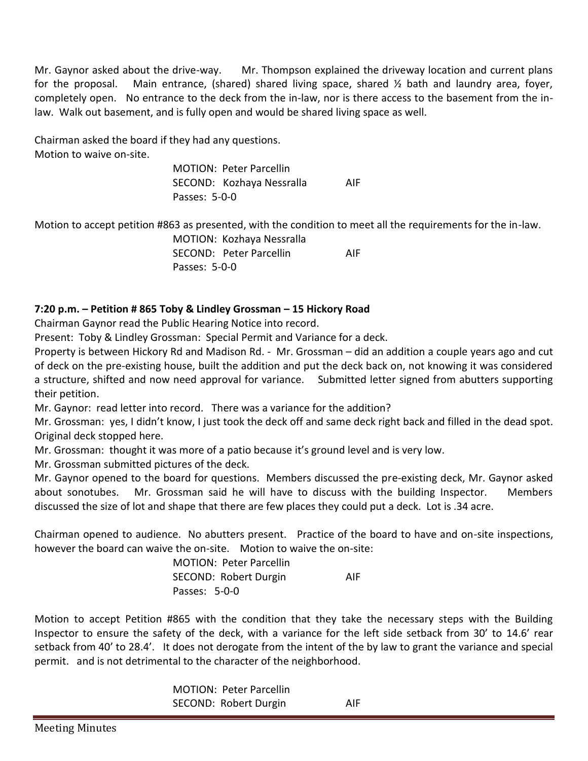Mr. Gaynor asked about the drive-way. Mr. Thompson explained the driveway location and current plans for the proposal. Main entrance, (shared) shared living space, shared  $\frac{1}{2}$  bath and laundry area, foyer, completely open. No entrance to the deck from the in-law, nor is there access to the basement from the inlaw. Walk out basement, and is fully open and would be shared living space as well.

Chairman asked the board if they had any questions. Motion to waive on-site.

> MOTION: Peter Parcellin SECOND: Kozhaya Nessralla AIF Passes: 5-0-0

Motion to accept petition #863 as presented, with the condition to meet all the requirements for the in-law.

MOTION: Kozhaya Nessralla SECOND: Peter Parcellin AIF Passes: 5-0-0

# **7:20 p.m. – Petition # 865 Toby & Lindley Grossman – 15 Hickory Road**

Chairman Gaynor read the Public Hearing Notice into record.

Present: Toby & Lindley Grossman: Special Permit and Variance for a deck.

Property is between Hickory Rd and Madison Rd. - Mr. Grossman – did an addition a couple years ago and cut of deck on the pre-existing house, built the addition and put the deck back on, not knowing it was considered a structure, shifted and now need approval for variance. Submitted letter signed from abutters supporting their petition.

Mr. Gaynor: read letter into record. There was a variance for the addition?

Mr. Grossman: yes, I didn't know, I just took the deck off and same deck right back and filled in the dead spot. Original deck stopped here.

Mr. Grossman: thought it was more of a patio because it's ground level and is very low.

Mr. Grossman submitted pictures of the deck.

Mr. Gaynor opened to the board for questions. Members discussed the pre-existing deck, Mr. Gaynor asked about sonotubes. Mr. Grossman said he will have to discuss with the building Inspector. Members discussed the size of lot and shape that there are few places they could put a deck. Lot is .34 acre.

Chairman opened to audience. No abutters present. Practice of the board to have and on-site inspections, however the board can waive the on-site. Motion to waive the on-site:

> MOTION: Peter Parcellin SECOND: Robert Durgin AIF Passes: 5-0-0

Motion to accept Petition #865 with the condition that they take the necessary steps with the Building Inspector to ensure the safety of the deck, with a variance for the left side setback from 30' to 14.6' rear setback from 40' to 28.4'. It does not derogate from the intent of the by law to grant the variance and special permit. and is not detrimental to the character of the neighborhood.

> MOTION: Peter Parcellin SECOND: Robert Durgin AIF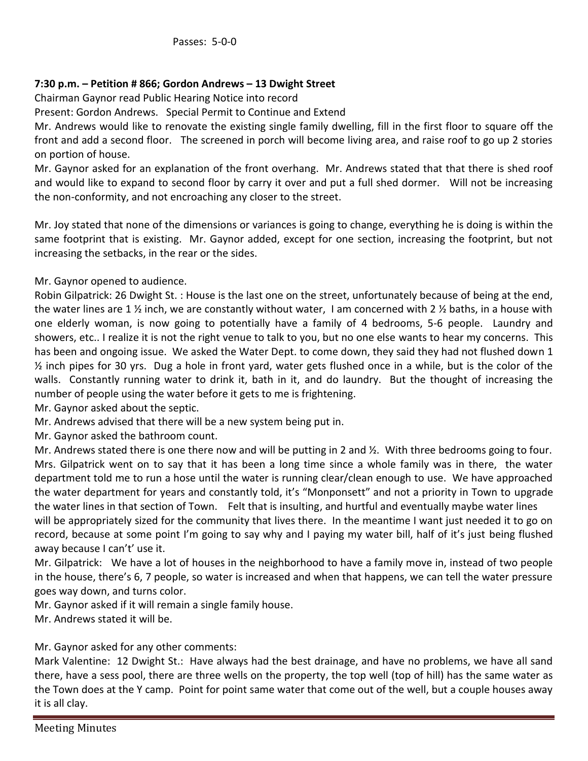# **7:30 p.m. – Petition # 866; Gordon Andrews – 13 Dwight Street**

Chairman Gaynor read Public Hearing Notice into record

Present: Gordon Andrews. Special Permit to Continue and Extend

Mr. Andrews would like to renovate the existing single family dwelling, fill in the first floor to square off the front and add a second floor. The screened in porch will become living area, and raise roof to go up 2 stories on portion of house.

Mr. Gaynor asked for an explanation of the front overhang. Mr. Andrews stated that that there is shed roof and would like to expand to second floor by carry it over and put a full shed dormer. Will not be increasing the non-conformity, and not encroaching any closer to the street.

Mr. Joy stated that none of the dimensions or variances is going to change, everything he is doing is within the same footprint that is existing. Mr. Gaynor added, except for one section, increasing the footprint, but not increasing the setbacks, in the rear or the sides.

Mr. Gaynor opened to audience.

Robin Gilpatrick: 26 Dwight St. : House is the last one on the street, unfortunately because of being at the end, the water lines are 1  $\frac{1}{2}$  inch, we are constantly without water, I am concerned with 2  $\frac{1}{2}$  baths, in a house with one elderly woman, is now going to potentially have a family of 4 bedrooms, 5-6 people. Laundry and showers, etc.. I realize it is not the right venue to talk to you, but no one else wants to hear my concerns. This has been and ongoing issue. We asked the Water Dept. to come down, they said they had not flushed down 1  $\frac{1}{2}$  inch pipes for 30 yrs. Dug a hole in front yard, water gets flushed once in a while, but is the color of the walls. Constantly running water to drink it, bath in it, and do laundry. But the thought of increasing the number of people using the water before it gets to me is frightening.

Mr. Gaynor asked about the septic.

Mr. Andrews advised that there will be a new system being put in.

Mr. Gaynor asked the bathroom count.

Mr. Andrews stated there is one there now and will be putting in 2 and ½. With three bedrooms going to four. Mrs. Gilpatrick went on to say that it has been a long time since a whole family was in there, the water department told me to run a hose until the water is running clear/clean enough to use. We have approached the water department for years and constantly told, it's "Monponsett" and not a priority in Town to upgrade the water lines in that section of Town. Felt that is insulting, and hurtful and eventually maybe water lines will be appropriately sized for the community that lives there. In the meantime I want just needed it to go on record, because at some point I'm going to say why and I paying my water bill, half of it's just being flushed away because I can't' use it.

Mr. Gilpatrick: We have a lot of houses in the neighborhood to have a family move in, instead of two people in the house, there's 6, 7 people, so water is increased and when that happens, we can tell the water pressure goes way down, and turns color.

Mr. Gaynor asked if it will remain a single family house.

Mr. Andrews stated it will be.

#### Mr. Gaynor asked for any other comments:

Mark Valentine: 12 Dwight St.: Have always had the best drainage, and have no problems, we have all sand there, have a sess pool, there are three wells on the property, the top well (top of hill) has the same water as the Town does at the Y camp. Point for point same water that come out of the well, but a couple houses away it is all clay.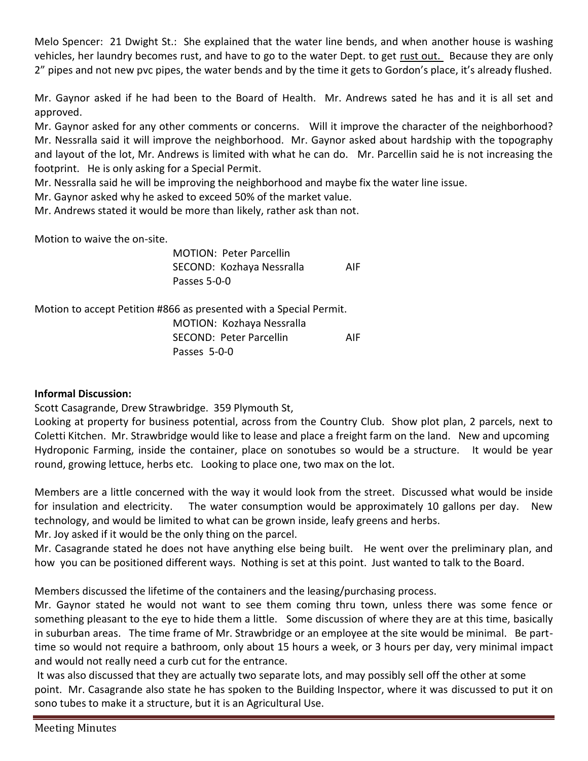Melo Spencer: 21 Dwight St.: She explained that the water line bends, and when another house is washing vehicles, her laundry becomes rust, and have to go to the water Dept. to get rust out. Because they are only 2" pipes and not new pvc pipes, the water bends and by the time it gets to Gordon's place, it's already flushed.

Mr. Gaynor asked if he had been to the Board of Health. Mr. Andrews sated he has and it is all set and approved.

Mr. Gaynor asked for any other comments or concerns. Will it improve the character of the neighborhood? Mr. Nessralla said it will improve the neighborhood. Mr. Gaynor asked about hardship with the topography and layout of the lot, Mr. Andrews is limited with what he can do. Mr. Parcellin said he is not increasing the footprint. He is only asking for a Special Permit.

Mr. Nessralla said he will be improving the neighborhood and maybe fix the water line issue.

Mr. Gaynor asked why he asked to exceed 50% of the market value.

Mr. Andrews stated it would be more than likely, rather ask than not.

Motion to waive the on-site.

MOTION: Peter Parcellin SECOND: Kozhaya Nessralla AIF Passes 5-0-0

Motion to accept Petition #866 as presented with a Special Permit.

MOTION: Kozhaya Nessralla SECOND: Peter Parcellin AIF Passes 5-0-0

# **Informal Discussion:**

Scott Casagrande, Drew Strawbridge. 359 Plymouth St,

Looking at property for business potential, across from the Country Club. Show plot plan, 2 parcels, next to Coletti Kitchen. Mr. Strawbridge would like to lease and place a freight farm on the land. New and upcoming Hydroponic Farming, inside the container, place on sonotubes so would be a structure. It would be year round, growing lettuce, herbs etc. Looking to place one, two max on the lot.

Members are a little concerned with the way it would look from the street. Discussed what would be inside for insulation and electricity. The water consumption would be approximately 10 gallons per day. New technology, and would be limited to what can be grown inside, leafy greens and herbs.

Mr. Joy asked if it would be the only thing on the parcel.

Mr. Casagrande stated he does not have anything else being built. He went over the preliminary plan, and how you can be positioned different ways. Nothing is set at this point. Just wanted to talk to the Board.

Members discussed the lifetime of the containers and the leasing/purchasing process.

Mr. Gaynor stated he would not want to see them coming thru town, unless there was some fence or something pleasant to the eye to hide them a little. Some discussion of where they are at this time, basically in suburban areas. The time frame of Mr. Strawbridge or an employee at the site would be minimal. Be parttime so would not require a bathroom, only about 15 hours a week, or 3 hours per day, very minimal impact and would not really need a curb cut for the entrance.

It was also discussed that they are actually two separate lots, and may possibly sell off the other at some point. Mr. Casagrande also state he has spoken to the Building Inspector, where it was discussed to put it on sono tubes to make it a structure, but it is an Agricultural Use.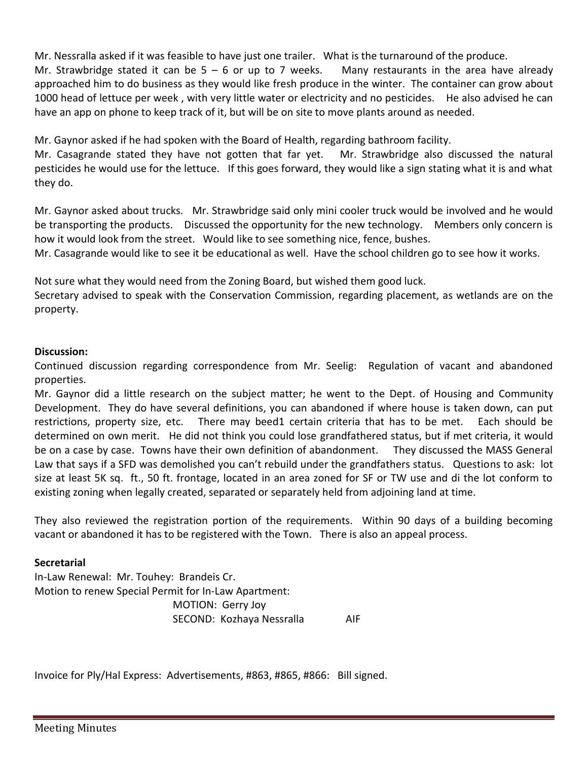Mr. Nessralla asked if it was feasible to have just one trailer. What is the turnaround of the produce.

Mr. Strawbridge stated it can be  $5 - 6$  or up to 7 weeks. Many restaurants in the area have already approached him to do business as they would like fresh produce in the winter. The container can grow about 1000 head of lettuce per week , with very little water or electricity and no pesticides. He also advised he can have an app on phone to keep track of it, but will be on site to move plants around as needed.

Mr. Gaynor asked if he had spoken with the Board of Health, regarding bathroom facility.

Mr. Casagrande stated they have not gotten that far yet. Mr. Strawbridge also discussed the natural pesticides he would use for the lettuce. If this goes forward, they would like a sign stating what it is and what they do.

Mr. Gaynor asked about trucks. Mr. Strawbridge said only mini cooler truck would be involved and he would be transporting the products. Discussed the opportunity for the new technology. Members only concern is how it would look from the street. Would like to see something nice, fence, bushes.

Mr. Casagrande would like to see it be educational as well. Have the school children go to see how it works.

Not sure what they would need from the Zoning Board, but wished them good luck.

Secretary advised to speak with the Conservation Commission, regarding placement, as wetlands are on the property.

## **Discussion:**

Continued discussion regarding correspondence from Mr. Seelig: Regulation of vacant and abandoned properties.

Mr. Gaynor did a little research on the subject matter; he went to the Dept. of Housing and Community Development. They do have several definitions, you can abandoned if where house is taken down, can put restrictions, property size, etc. There may beed1 certain criteria that has to be met. Each should be determined on own merit. He did not think you could lose grandfathered status, but if met criteria, it would be on a case by case. Towns have their own definition of abandonment. They discussed the MASS General Law that says if a SFD was demolished you can't rebuild under the grandfathers status. Questions to ask: lot size at least 5K sq. ft., 50 ft. frontage, located in an area zoned for SF or TW use and di the lot conform to existing zoning when legally created, separated or separately held from adjoining land at time.

They also reviewed the registration portion of the requirements. Within 90 days of a building becoming vacant or abandoned it has to be registered with the Town. There is also an appeal process.

#### **Secretarial**

In-Law Renewal: Mr. Touhey: Brandeis Cr. Motion to renew Special Permit for In-Law Apartment: MOTION: Gerry Joy SECOND: Kozhaya Nessralla AIF

Invoice for Ply/Hal Express: Advertisements, #863, #865, #866: Bill signed.